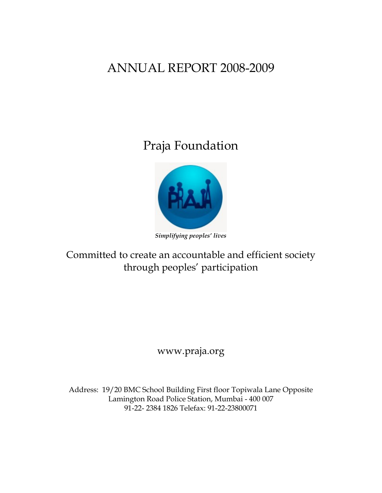# ANNUAL REPORT 2008-2009

Praja Foundation



*Simplifying peoples' lives* 

Committed to create an accountable and efficient society through peoples' participation

www.praja.org

Address: 19/20 BMC School Building First floor Topiwala Lane Opposite Lamington Road Police Station, Mumbai - 400 007 91-22- 2384 1826 Telefax: 91-22-23800071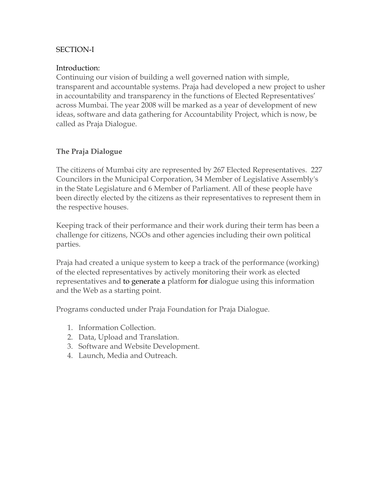### SECTION-I

### Introduction:

Continuing our vision of building a well governed nation with simple, transparent and accountable systems. Praja had developed a new project to usher in accountability and transparency in the functions of Elected Representatives' across Mumbai. The year 2008 will be marked as a year of development of new ideas, software and data gathering for Accountability Project, which is now, be called as Praja Dialogue.

### **The Praja Dialogue**

The citizens of Mumbai city are represented by 267 Elected Representatives. 227 Councilors in the Municipal Corporation, 34 Member of Legislative Assembly's in the State Legislature and 6 Member of Parliament. All of these people have been directly elected by the citizens as their representatives to represent them in the respective houses.

Keeping track of their performance and their work during their term has been a challenge for citizens, NGOs and other agencies including their own political parties.

Praja had created a unique system to keep a track of the performance (working) of the elected representatives by actively monitoring their work as elected representatives and to generate a platform for dialogue using this information and the Web as a starting point.

Programs conducted under Praja Foundation for Praja Dialogue.

- 1. Information Collection.
- 2. Data, Upload and Translation.
- 3. Software and Website Development.
- 4. Launch, Media and Outreach.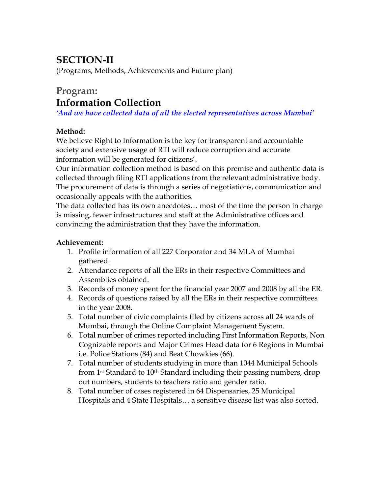## **SECTION-II**

(Programs, Methods, Achievements and Future plan)

### **Program: Information Collection**

*'And we have collected data of all the elected representatives across Mumbai'* 

### **Method:**

We believe Right to Information is the key for transparent and accountable society and extensive usage of RTI will reduce corruption and accurate information will be generated for citizens'.

Our information collection method is based on this premise and authentic data is collected through filing RTI applications from the relevant administrative body. The procurement of data is through a series of negotiations, communication and occasionally appeals with the authorities.

The data collected has its own anecdotes… most of the time the person in charge is missing, fewer infrastructures and staff at the Administrative offices and convincing the administration that they have the information.

### **Achievement:**

- 1. Profile information of all 227 Corporator and 34 MLA of Mumbai gathered.
- 2. Attendance reports of all the ERs in their respective Committees and Assemblies obtained.
- 3. Records of money spent for the financial year 2007 and 2008 by all the ER.
- 4. Records of questions raised by all the ERs in their respective committees in the year 2008.
- 5. Total number of civic complaints filed by citizens across all 24 wards of Mumbai, through the Online Complaint Management System.
- 6. Total number of crimes reported including First Information Reports, Non Cognizable reports and Major Crimes Head data for 6 Regions in Mumbai i.e. Police Stations (84) and Beat Chowkies (66).
- 7. Total number of students studying in more than 1044 Municipal Schools from 1<sup>st</sup> Standard to 10<sup>th</sup> Standard including their passing numbers, drop out numbers, students to teachers ratio and gender ratio.
- 8. Total number of cases registered in 64 Dispensaries, 25 Municipal Hospitals and 4 State Hospitals… a sensitive disease list was also sorted.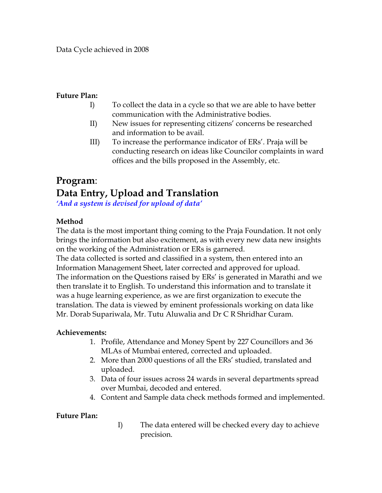### **Future Plan:**

- I) To collect the data in a cycle so that we are able to have better communication with the Administrative bodies.
- II) New issues for representing citizens' concerns be researched and information to be avail.
- III) To increase the performance indicator of ERs'. Praja will be conducting research on ideas like Councilor complaints in ward offices and the bills proposed in the Assembly, etc.

# **Program**: **Data Entry, Upload and Translation**

*'And a system is devised for upload of data'*

### **Method**

The data is the most important thing coming to the Praja Foundation. It not only brings the information but also excitement, as with every new data new insights on the working of the Administration or ERs is garnered.

The data collected is sorted and classified in a system, then entered into an Information Management Sheet, later corrected and approved for upload. The information on the Questions raised by ERs' is generated in Marathi and we then translate it to English. To understand this information and to translate it was a huge learning experience, as we are first organization to execute the translation. The data is viewed by eminent professionals working on data like Mr. Dorab Supariwala, Mr. Tutu Aluwalia and Dr C R Shridhar Curam.

### **Achievements:**

- 1. Profile, Attendance and Money Spent by 227 Councillors and 36 MLAs of Mumbai entered, corrected and uploaded.
- 2. More than 2000 questions of all the ERs' studied, translated and uploaded.
- 3. Data of four issues across 24 wards in several departments spread over Mumbai, decoded and entered.
- 4. Content and Sample data check methods formed and implemented.

### **Future Plan:**

I) The data entered will be checked every day to achieve precision.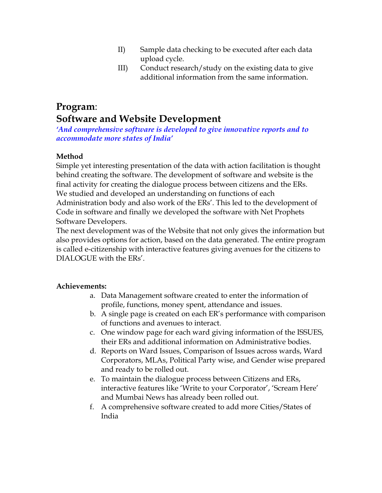- II) Sample data checking to be executed after each data upload cycle.
- III) Conduct research/study on the existing data to give additional information from the same information.

### **Program**: **Software and Website Development**

*'And comprehensive software is developed to give innovative reports and to accommodate more states of India'*

### **Method**

Simple yet interesting presentation of the data with action facilitation is thought behind creating the software. The development of software and website is the final activity for creating the dialogue process between citizens and the ERs. We studied and developed an understanding on functions of each

Administration body and also work of the ERs'. This led to the development of Code in software and finally we developed the software with Net Prophets Software Developers.

The next development was of the Website that not only gives the information but also provides options for action, based on the data generated. The entire program is called e-citizenship with interactive features giving avenues for the citizens to DIALOGUE with the ERs'.

### **Achievements:**

- a. Data Management software created to enter the information of profile, functions, money spent, attendance and issues.
- b. A single page is created on each ER's performance with comparison of functions and avenues to interact.
- c. One window page for each ward giving information of the ISSUES, their ERs and additional information on Administrative bodies.
- d. Reports on Ward Issues, Comparison of Issues across wards, Ward Corporators, MLAs, Political Party wise, and Gender wise prepared and ready to be rolled out.
- e. To maintain the dialogue process between Citizens and ERs, interactive features like 'Write to your Corporator', 'Scream Here' and Mumbai News has already been rolled out.
- f. A comprehensive software created to add more Cities/States of India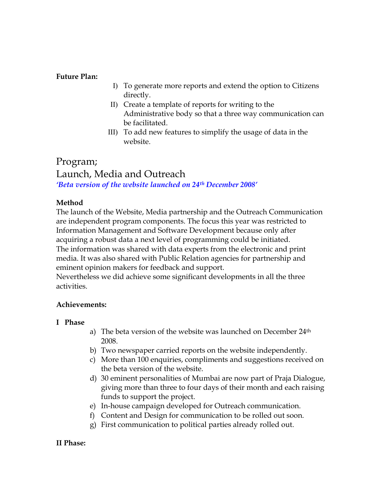### **Future Plan:**

- I) To generate more reports and extend the option to Citizens directly.
- II) Create a template of reports for writing to the Administrative body so that a three way communication can be facilitated.
- III) To add new features to simplify the usage of data in the website.

### Program; Launch, Media and Outreach *'Beta version of the website launched on 24th December 2008'*

### **Method**

The launch of the Website, Media partnership and the Outreach Communication are independent program components. The focus this year was restricted to Information Management and Software Development because only after acquiring a robust data a next level of programming could be initiated. The information was shared with data experts from the electronic and print media. It was also shared with Public Relation agencies for partnership and eminent opinion makers for feedback and support.

Nevertheless we did achieve some significant developments in all the three activities.

### **Achievements:**

### **I Phase**

- a) The beta version of the website was launched on December 24<sup>th</sup> 2008.
- b) Two newspaper carried reports on the website independently.
- c) More than 100 enquiries, compliments and suggestions received on the beta version of the website.
- d) 30 eminent personalities of Mumbai are now part of Praja Dialogue, giving more than three to four days of their month and each raising funds to support the project.
- e) In-house campaign developed for Outreach communication.
- f) Content and Design for communication to be rolled out soon.
- g) First communication to political parties already rolled out.

### **II Phase:**